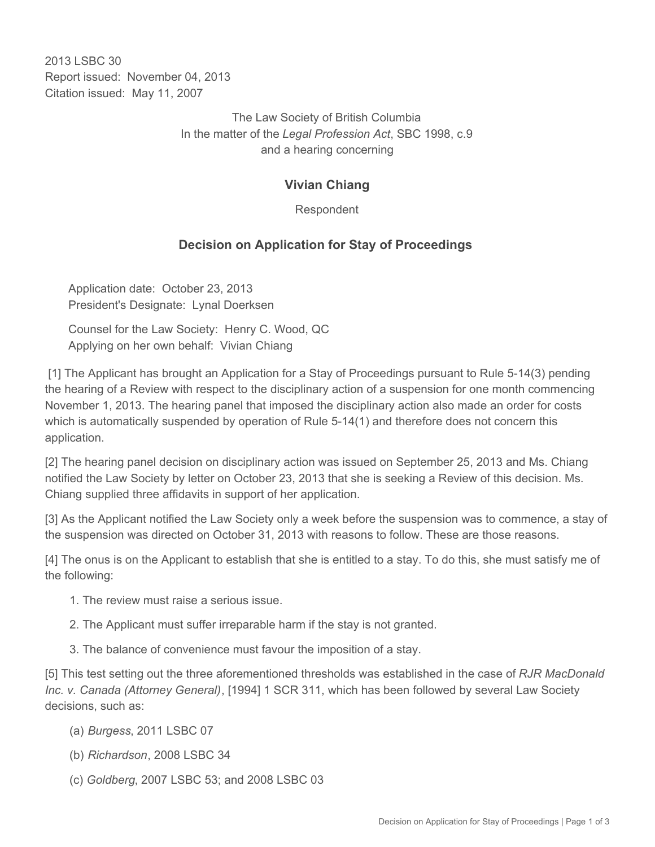2013 LSBC 30 Report issued: November 04, 2013 Citation issued: May 11, 2007

> The Law Society of British Columbia In the matter of the *Legal Profession Act*, SBC 1998, c.9 and a hearing concerning

## **Vivian Chiang**

Respondent

## **Decision on Application for Stay of Proceedings**

Application date: October 23, 2013 President's Designate: Lynal Doerksen

Counsel for the Law Society: Henry C. Wood, QC Applying on her own behalf: Vivian Chiang

 [1] The Applicant has brought an Application for a Stay of Proceedings pursuant to Rule 5-14(3) pending the hearing of a Review with respect to the disciplinary action of a suspension for one month commencing November 1, 2013. The hearing panel that imposed the disciplinary action also made an order for costs which is automatically suspended by operation of Rule 5-14(1) and therefore does not concern this application.

[2] The hearing panel decision on disciplinary action was issued on September 25, 2013 and Ms. Chiang notified the Law Society by letter on October 23, 2013 that she is seeking a Review of this decision. Ms. Chiang supplied three affidavits in support of her application.

[3] As the Applicant notified the Law Society only a week before the suspension was to commence, a stay of the suspension was directed on October 31, 2013 with reasons to follow. These are those reasons.

[4] The onus is on the Applicant to establish that she is entitled to a stay. To do this, she must satisfy me of the following:

- 1. The review must raise a serious issue.
- 2. The Applicant must suffer irreparable harm if the stay is not granted.
- 3. The balance of convenience must favour the imposition of a stay.

[5] This test setting out the three aforementioned thresholds was established in the case of *RJR MacDonald Inc. v. Canada (Attorney General)*, [1994] 1 SCR 311, which has been followed by several Law Society decisions, such as:

- (a) *Burgess*, 2011 LSBC 07
- (b) *Richardson*, 2008 LSBC 34
- (c) *Goldberg*, 2007 LSBC 53; and 2008 LSBC 03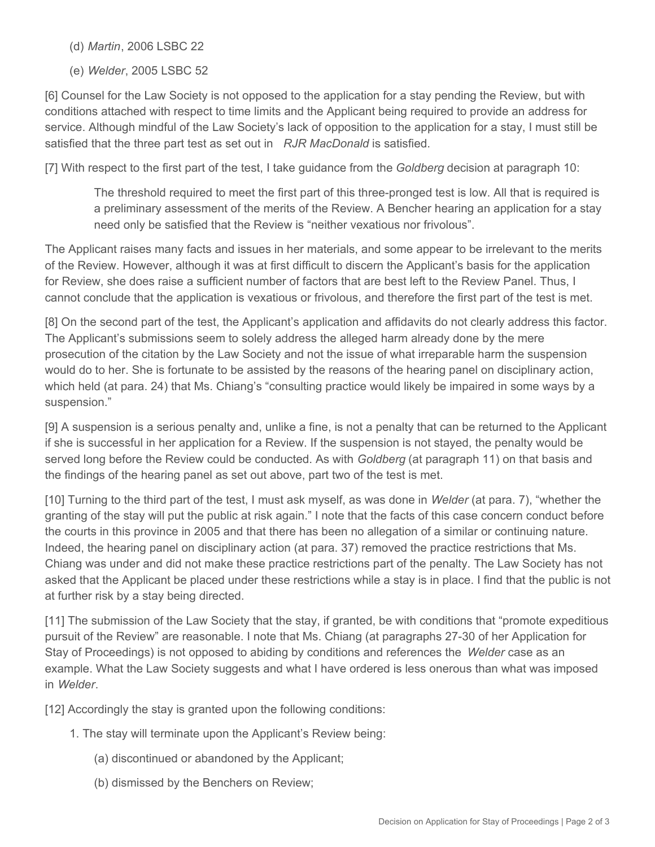(d) *Martin*, 2006 LSBC 22

(e) *Welder*, 2005 LSBC 52

[6] Counsel for the Law Society is not opposed to the application for a stay pending the Review, but with conditions attached with respect to time limits and the Applicant being required to provide an address for service. Although mindful of the Law Society's lack of opposition to the application for a stay, I must still be satisfied that the three part test as set out in *RJR MacDonald* is satisfied.

[7] With respect to the first part of the test, I take guidance from the *Goldberg* decision at paragraph 10:

The threshold required to meet the first part of this three-pronged test is low. All that is required is a preliminary assessment of the merits of the Review. A Bencher hearing an application for a stay need only be satisfied that the Review is "neither vexatious nor frivolous".

The Applicant raises many facts and issues in her materials, and some appear to be irrelevant to the merits of the Review. However, although it was at first difficult to discern the Applicant's basis for the application for Review, she does raise a sufficient number of factors that are best left to the Review Panel. Thus, I cannot conclude that the application is vexatious or frivolous, and therefore the first part of the test is met.

[8] On the second part of the test, the Applicant's application and affidavits do not clearly address this factor. The Applicant's submissions seem to solely address the alleged harm already done by the mere prosecution of the citation by the Law Society and not the issue of what irreparable harm the suspension would do to her. She is fortunate to be assisted by the reasons of the hearing panel on disciplinary action, which held (at para. 24) that Ms. Chiang's "consulting practice would likely be impaired in some ways by a suspension."

[9] A suspension is a serious penalty and, unlike a fine, is not a penalty that can be returned to the Applicant if she is successful in her application for a Review. If the suspension is not stayed, the penalty would be served long before the Review could be conducted. As with *Goldberg* (at paragraph 11) on that basis and the findings of the hearing panel as set out above, part two of the test is met.

[10] Turning to the third part of the test, I must ask myself, as was done in *Welder* (at para. 7), "whether the granting of the stay will put the public at risk again." I note that the facts of this case concern conduct before the courts in this province in 2005 and that there has been no allegation of a similar or continuing nature. Indeed, the hearing panel on disciplinary action (at para. 37) removed the practice restrictions that Ms. Chiang was under and did not make these practice restrictions part of the penalty. The Law Society has not asked that the Applicant be placed under these restrictions while a stay is in place. I find that the public is not at further risk by a stay being directed.

[11] The submission of the Law Society that the stay, if granted, be with conditions that "promote expeditious pursuit of the Review" are reasonable. I note that Ms. Chiang (at paragraphs 27-30 of her Application for Stay of Proceedings) is not opposed to abiding by conditions and references the *Welder* case as an example. What the Law Society suggests and what I have ordered is less onerous than what was imposed in *Welder*.

[12] Accordingly the stay is granted upon the following conditions:

- 1. The stay will terminate upon the Applicant's Review being:
	- (a) discontinued or abandoned by the Applicant;
	- (b) dismissed by the Benchers on Review;